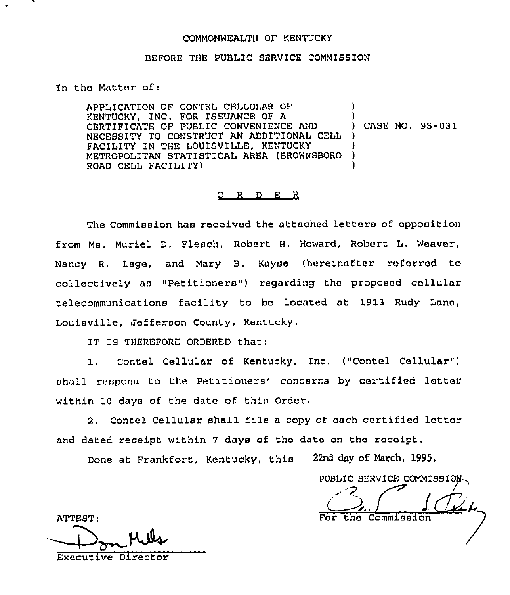## COMMONWEALTH OF KENTUCKY

## BEFORE THE PUBLIC SERVICE COMMISSION

## In the Matter of;

APPLICATION OF CONTEL CELLULAR OF KENTUCKY, INC. FOR ISSUANCE OF A CERTIFICATE OF PUBLIC CONVENIENCE AND NECESSITY TO CONSTRUCT AN ADDITIONAL CELL FACILITY IN THE LOUISVILLE, KENTUCKY METROPOLITAN STATISTICAL AREA (BROWNSBORO ROAD CELL FACIL1TY) ) ) ) CASE NO. 95-031 ) ) ) )

## 0 <sup>R</sup> <sup>D</sup> <sup>E</sup> <sup>R</sup>

The Commission has received the attached letters of opposition from Ms, Muriel D, Pleach, Robert H. Howard, Robert L, Weaver, Nancy R. Lage, and Mary B. Kayse (hereinafter referred to collectively as "Petitioners") regarding the proposed cellular telecommunications facility to be located at 1913 Rudy Lane, Louisville, Jefferson County, Kentucky.

IT IS THEREFORE ORDERED that:

1. Contel Cellular of Kentucky, Inc. ("Contel Cellular" ) shall respond to the Petitioners' concerns by certified letter within 10 days of the date of this Order,

2. Contel Cellular shall file <sup>a</sup> copy of each certified letter and dated receipt within <sup>7</sup> days of the date on the receipt.

Done at Frankfort, Kentucky, this 22nd day of March, 1995.

PUBLIC SERVICE COMMISSION  $\int$   $\int$   $\int$   $\mu$ Commission

ATTEST: Executive Director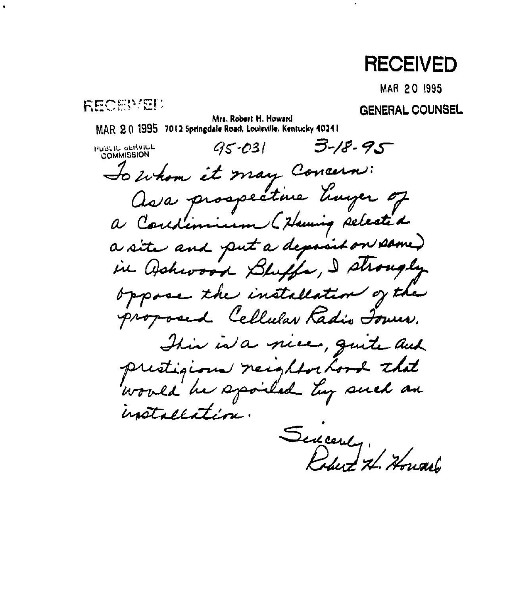# **RECEIVED**

**MAR 20 1995** 

RECENTED

**GENERAL COUNSEL** 

Mrs. Robert H. Howard MAR 2.0 1995 7012 Springdale Road, Louisville, Kentucky 40241

 $3 - 18 - 95$  $95 - 031$ PUBLIC SERVICE To whom it may Concern: Ava prospective tinger of a Constimium (Huning selected a site and put a deposit on same) in Wahwood Bluffe, I shought oppose the installation of the proposed Cellular Radio Tower. This is a nice, quite and prestigione neighborhood that would be spoiled by such an installation. Sincenty, Hor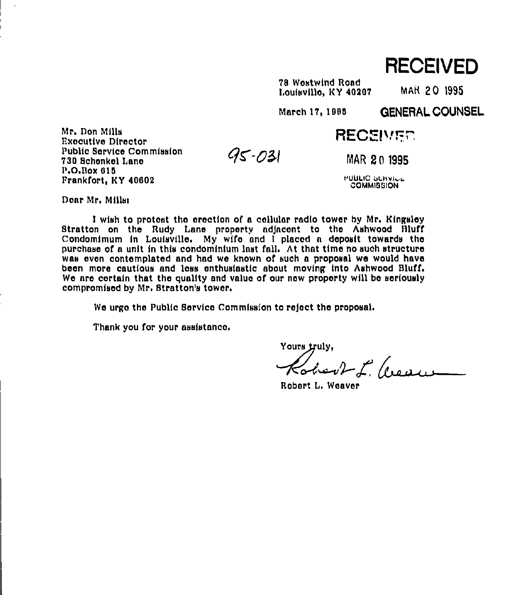RECEIVED

ZS Wastwind Bond Louisvillo, KY 40207 MAR 20 1995

March 17, 1995 GENERAL COUNSEL

RECEIVED.

Executive Director Public 8orvico Commission 700 8chonkel Lane P.O.Box 010 Frankfort, KY 40602

MAR 20 1995

PUBLIC UERVICE. **COMMISSION** 

Doar Mr. Mills:

Mr. Don Milh

<sup>1</sup> wish to protest tho erection of a cellular radio tower by Mr. Ktngsloy 8tratton on tha Budy Lane property adjacent to tho Ashwood Bluff Condomimum in Louisville. My wife and <sup>1</sup> placed a doposit towards tho purchase of a unit in this condominium inst fall. At that timo no such structure was evan contemplated and had we known of such a proposal we would have been more cautious and less enthusiastic about moving into Ashwood Bluff. We are certain that the quality and value of our new property will be seriously compromised by Mr. 8tratton's tower.

 $95 - 031$ 

We urge the Public Service Commission to reject the proposal.

Thank you for your assistance.

Yours truly. Kobert, Cream

Bobort L. Weaver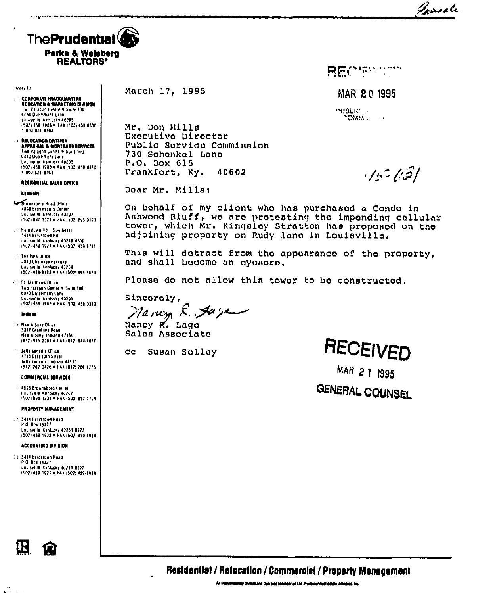Innale



| Henry In |  |
|----------|--|
|----------|--|

s angli

**CONPORATE HEADQUARTERS<br>EDUCATION & MARKETING DIVISION**<br>T*eo Persoon Centre* & Suite 100 nual Dulchmans Lane Louisville Renischy 40205<br>Louisville Renischy 40205<br>1502) 458-1988 = FAX (502) 458-0330 1.800-821-8763

**13 RELOCATION DIVISION<br>APPRAISAL & MONTOAGE RENNICES** Two Paragon Centre . Suite 100 6040 Dutchmans Lane tourned Fentucky 40205<br>15021458-1988 = FAX (502) 458-0330 1 800 821-8703

### RESIDENTIAL SALES OFFICE

#### Kenmere

**Monarchoro Road Office** 4858 Brownspora Center Louisville, Nehlicky 40207<br>15021 897-3321 + FAX (502) 895-0193

13. Renastown Rd. - Southeast 1411 Barchtown Rd LOUISVILLE NESSLERY 40218 4800 (502) 459-1922 . FAX (502) 459-8701

(3) The Park Ollice **JOTO Che over Partical**y Louisville Kentucky 40204<br>1502) 458-8188 = FAX (502) 458-8623

(3. St. Malthows Office) Two Palagon Centre + Suite 100 6040 Dutchmans Lane Louisville Kahluchy 40205 (502) 458-1988 . FAX (502) 458-0330

#### indiana

- 17 New Albany Office 1317 Grantine Hoad New Albany, Indiana 47150 (812) 945-2381 . FAK (812) 949-4077
- 113 Jellersonville Office 1713 East 10th Street Jelfartonyiria. Indiana 47130 (612) 282-0426 = FAX (612) 288-1275

COMMERCIAL SERVICES

3 4898 Brownsboro Center Educturile Namigcay 40207<br>1502) 896-1234 = FAX (502) 897-3794

#### PROPERTY MANAGEMENT

13 3411 Baldstown Road P.O. Box 18227 Louisville Kentucky 40201-0227<br>(502) 459-1928 = FAK (502) 459-1914

#### **ACCOUNTING GIVIEION**

13. 1411 Bardstown Road P.O. Box 18227 EDUISVITH Kentucky 40261-0227<br>1502) 459-1921 = FAX (502) 459-1934

 $\overline{\phantom{a}}$ 

March 17. 1995

Mr. Don Mills Executive Director Public Service Commission 730 Schonkel Lano P.O. Box 615 Frankfort, Ky. 40602

Dear Mr. Mills:

On bohalf of my client who has purchased a Condo in Ashwood Bluff, we are protesting the impending cellular tower, which Mr. Kingsley Stratton has proposed on the adjoining proporty on Rudy lano in Louisville.

This will dotract from the appearance of the property, and shall become an eyesore.

Please do not allow this tower to be constructed.

Sincoroly,

Nancy E. Jare

Nancy R. Lago Sales Associate

Susan Solloy  $cc$ 

RECEIVED

**BEOSYMIA** 

MAR 20 1995

 $15 - 15$ 

**SHOLIC** -

 $\sim$ OMP $\sim$ 

MAR 2 1 1995

## GENERAL COUNSEL

Residential / Relocation / Commercial / Property Menagement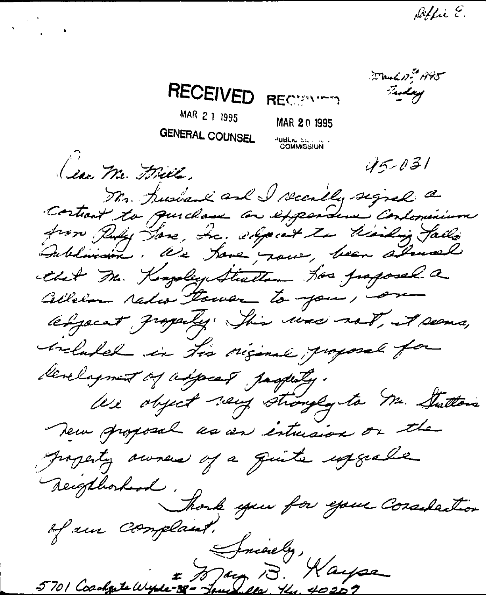March 17th 1945 RECEIVED Tuday RECENTED MAR 2 1 1995 MAR 20 1995 **GENERAL COUNSEL PUBLIC ST.**<br>COMMISSION  $45 - 031$ (ese Mr. Frill. Mr. husband and I recally signed a Costrait to quichase an expendence Contominium from Puly Hore, Inc. shpecat to kindig falls that The Kongolic Steather has proposed a Cellelan ratio Power to you, on respect graphy. This was not, it seems, chalabel in the riginal payment for development of adjacent pagesty. We object very strongly to Mr. Stattons New groposal us an intuision or the property awners of a quite experite Reighborhood. Though you for your Consideration of aur Complaint. 8 Jnienly,<br>5701 Coadque Wyse-Jour 18. Haype

 $\begin{pmatrix} 1 & 1 \\ 1 & 1 \end{pmatrix}$ 

Déffie E.